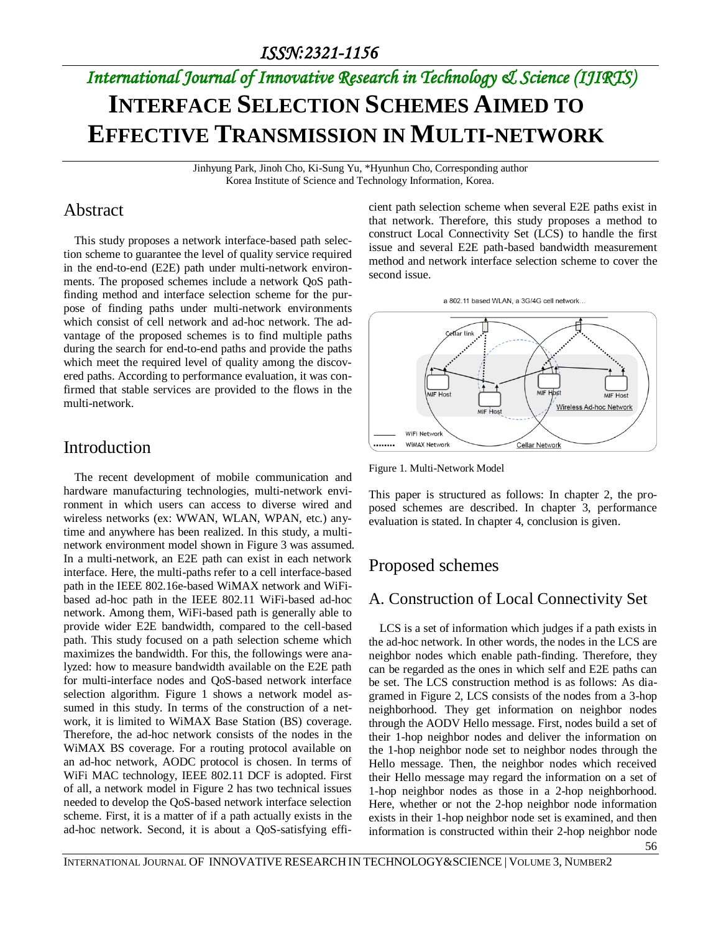# *International Journal of Innovative Research in Technology & Science (IJIRTS)* **INTERFACE SELECTION SCHEMES AIMED TO EFFECTIVE TRANSMISSION IN MULTI-NETWORK**

Jinhyung Park, Jinoh Cho, Ki-Sung Yu, \*Hyunhun Cho, Corresponding author Korea Institute of Science and Technology Information, Korea.

### Abstract

This study proposes a network interface-based path selection scheme to guarantee the level of quality service required in the end-to-end (E2E) path under multi-network environments. The proposed schemes include a network QoS pathfinding method and interface selection scheme for the purpose of finding paths under multi-network environments which consist of cell network and ad-hoc network. The advantage of the proposed schemes is to find multiple paths during the search for end-to-end paths and provide the paths which meet the required level of quality among the discovered paths. According to performance evaluation, it was confirmed that stable services are provided to the flows in the multi-network.

### Introduction

The recent development of mobile communication and hardware manufacturing technologies, multi-network environment in which users can access to diverse wired and wireless networks (ex: WWAN, WLAN, WPAN, etc.) anytime and anywhere has been realized. In this study, a multinetwork environment model shown in Figure 3 was assumed. In a multi-network, an E2E path can exist in each network interface. Here, the multi-paths refer to a cell interface-based path in the IEEE 802.16e-based WiMAX network and WiFibased ad-hoc path in the IEEE 802.11 WiFi-based ad-hoc network. Among them, WiFi-based path is generally able to provide wider E2E bandwidth, compared to the cell-based path. This study focused on a path selection scheme which maximizes the bandwidth. For this, the followings were analyzed: how to measure bandwidth available on the E2E path for multi-interface nodes and QoS-based network interface selection algorithm. Figure 1 shows a network model assumed in this study. In terms of the construction of a network, it is limited to WiMAX Base Station (BS) coverage. Therefore, the ad-hoc network consists of the nodes in the WiMAX BS coverage. For a routing protocol available on an ad-hoc network, AODC protocol is chosen. In terms of WiFi MAC technology, IEEE 802.11 DCF is adopted. First of all, a network model in Figure 2 has two technical issues needed to develop the QoS-based network interface selection scheme. First, it is a matter of if a path actually exists in the ad-hoc network. Second, it is about a QoS-satisfying efficient path selection scheme when several E2E paths exist in that network. Therefore, this study proposes a method to construct Local Connectivity Set (LCS) to handle the first issue and several E2E path-based bandwidth measurement method and network interface selection scheme to cover the second issue.





Figure 1. Multi-Network Model

This paper is structured as follows: In chapter 2, the proposed schemes are described. In chapter 3, performance evaluation is stated. In chapter 4, conclusion is given.

### Proposed schemes

### A. Construction of Local Connectivity Set

LCS is a set of information which judges if a path exists in the ad-hoc network. In other words, the nodes in the LCS are neighbor nodes which enable path-finding. Therefore, they can be regarded as the ones in which self and E2E paths can be set. The LCS construction method is as follows: As diagramed in Figure 2, LCS consists of the nodes from a 3-hop neighborhood. They get information on neighbor nodes through the AODV Hello message. First, nodes build a set of their 1-hop neighbor nodes and deliver the information on the 1-hop neighbor node set to neighbor nodes through the Hello message. Then, the neighbor nodes which received their Hello message may regard the information on a set of 1-hop neighbor nodes as those in a 2-hop neighborhood. Here, whether or not the 2-hop neighbor node information exists in their 1-hop neighbor node set is examined, and then information is constructed within their 2-hop neighbor node

56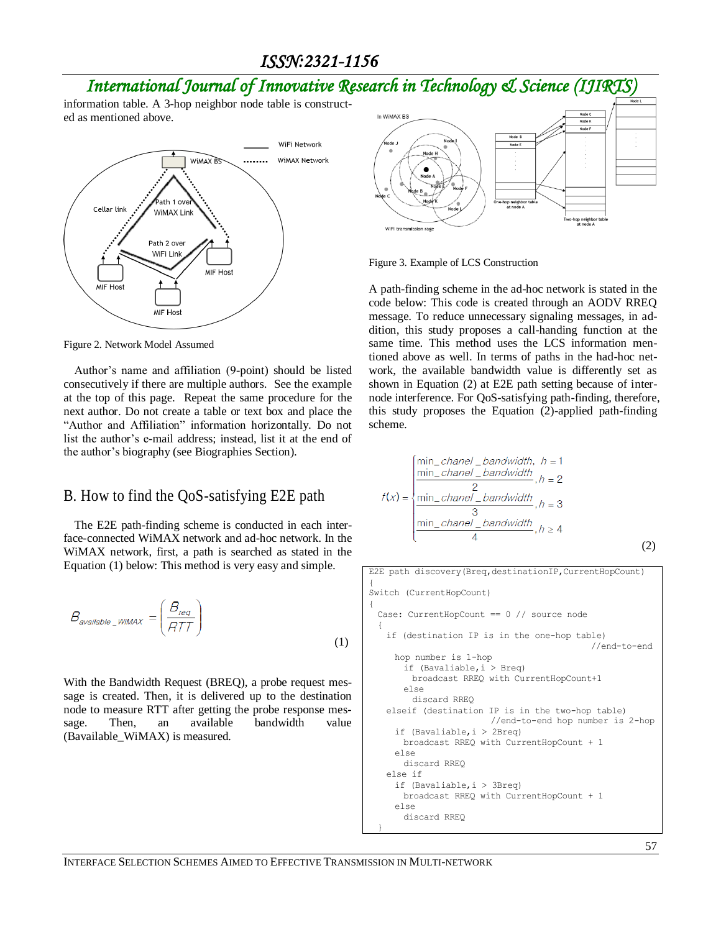### *ISSN:2321-1156*

## *International Journal of Innovative Research in Technology & Science (IJIRTS)*

information table. A 3-hop neighbor node table is constructed as mentioned above.



Figure 2. Network Model Assumed

Author's name and affiliation (9-point) should be listed consecutively if there are multiple authors. See the example at the top of this page. Repeat the same procedure for the next author. Do not create a table or text box and place the "Author and Affiliation" information horizontally. Do not list the author's e-mail address; instead, list it at the end of the author's biography (see Biographies Section).

#### B. How to find the QoS-satisfying E2E path

The E2E path-finding scheme is conducted in each interface-connected WiMAX network and ad-hoc network. In the WiMAX network, first, a path is searched as stated in the Equation (1) below: This method is very easy and simple.

$$
B_{available\_WIMAX} = \left(\frac{B_{req}}{ATT}\right)
$$
\n(1)

With the Bandwidth Request (BREQ), a probe request message is created. Then, it is delivered up to the destination node to measure RTT after getting the probe response message. Then, an available bandwidth value (Bavailable\_WiMAX) is measured.



Figure 3. Example of LCS Construction

A path-finding scheme in the ad-hoc network is stated in the code below: This code is created through an AODV RREQ message. To reduce unnecessary signaling messages, in addition, this study proposes a call-handing function at the same time. This method uses the LCS information mentioned above as well. In terms of paths in the had-hoc network, the available bandwidth value is differently set as shown in Equation (2) at E2E path setting because of internode interference. For QoS-satisfying path-finding, therefore, this study proposes the Equation (2)-applied path-finding scheme.

$$
f(x) = \begin{cases} \n\min_{h \in \mathcal{L}} \text{channel} - \text{bandwidth}, & h = 1 \\ \n\min_{h \in \mathcal{L}} \text{channel} - \text{bandwidth}, & h = 2 \\ \n\min_{h \in \mathcal{L}} \text{channel} - \text{bandwidth}, & h = 3 \\ \n\min_{h \in \mathcal{L}} \text{channel} - \text{bandwidth}, & h = 4 \\ \n\min_{h \in \mathcal{L}} \text{channel} - \text{bandwidth}, & h \ge 4 \n\end{cases}
$$

E2E path discovery(Breq,destinationIP,CurrentHopCount) { Switch (CurrentHopCount) { Case: CurrentHopCount == 0 // source node { if (destination IP is in the one-hop table) //end-to-end hop number is 1-hop if (Bavaliable,i > Breq) broadcast RREQ with CurrentHopCount+1 else discard RREQ elseif (destination IP is in the two-hop table) //end-to-end hop number is 2-hop if (Bavaliable,i > 2Breq) broadcast RREQ with CurrentHopCount + 1 else discard RREQ else if if (Bavaliable,i > 3Breq) broadcast RREQ with CurrentHopCount + 1 else discard RREQ }

(2)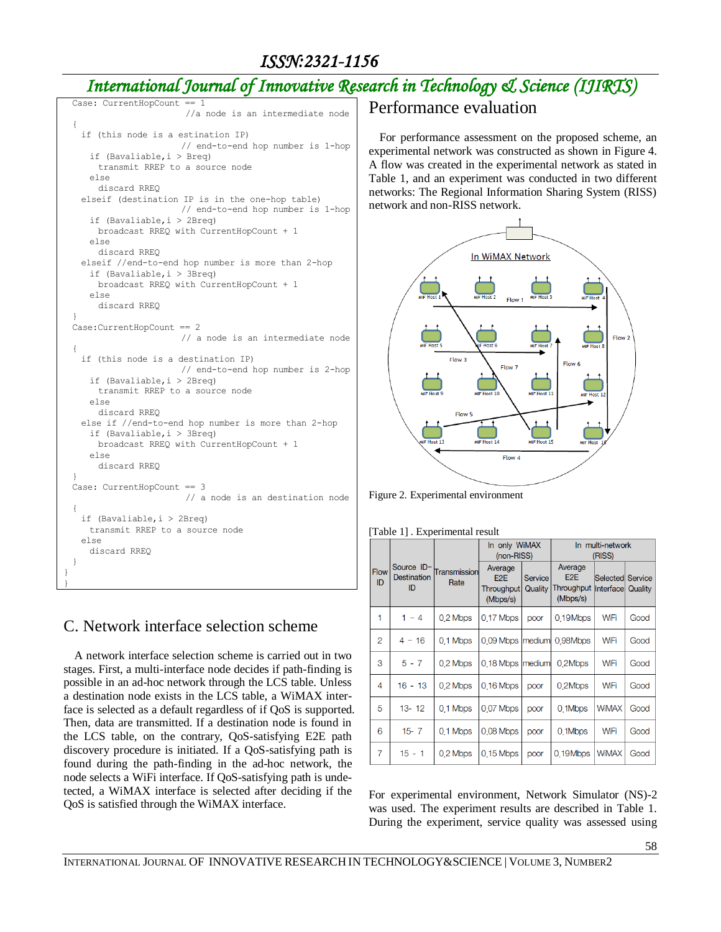### *ISSN:2321-1156*

### *International Journal of Innovative Research in Technology & Science (IJIRTS)*

```
Case: CurrentHopCount ==
                        //a node is an intermediate node
 {
   if (this node is a estination IP)
                      // end-to-end hop number is 1-hop
    if (Bavaliable,i > Breq)
      transmit RREP to a source node
    else
      discard RREQ
   elseif (destination IP is in the one-hop table)
                       // end-to-end hop number is 1-hop
    if (Bavaliable,i > 2Breq)
      broadcast RREQ with CurrentHopCount + 1
    else
      discard RREQ
   elseif //end-to-end hop number is more than 2-hop
    if (Bavaliable,i > 3Breq)
      broadcast RREQ with CurrentHopCount + 1
    else
      discard RREQ 
 }
 Case:CurrentHopCount == 2
                       // a node is an intermediate node
 {
   if (this node is a destination IP)
                      // end-to-end hop number is 2-hop
    if (Bavaliable,i > 2Breq)
      transmit RREP to a source node
    else
      discard RREQ
   else if //end-to-end hop number is more than 2-hop
    if (Bavaliable,i > 3Breq)
      broadcast RREQ with CurrentHopCount + 1
    else
      discard RREQ 
 }
 Case: CurrentHopCount == 3
                        // a node is an destination node
 {
   if (Bavaliable,i > 2Breq)
    transmit RREP to a source node
   else
    discard RREQ 
 }
}
}
```
### C. Network interface selection scheme

A network interface selection scheme is carried out in two stages. First, a multi-interface node decides if path-finding is possible in an ad-hoc network through the LCS table. Unless a destination node exists in the LCS table, a WiMAX interface is selected as a default regardless of if QoS is supported. Then, data are transmitted. If a destination node is found in the LCS table, on the contrary, QoS-satisfying E2E path discovery procedure is initiated. If a QoS-satisfying path is found during the path-finding in the ad-hoc network, the node selects a WiFi interface. If QoS-satisfying path is undetected, a WiMAX interface is selected after deciding if the QoS is satisfied through the WiMAX interface.

#### Performance evaluation

For performance assessment on the proposed scheme, an experimental network was constructed as shown in Figure 4. A flow was created in the experimental network as stated in Table 1, and an experiment was conducted in two different networks: The Regional Information Sharing System (RISS) network and non-RISS network.



Figure 2. Experimental environment

| [Table 1]. Experimental result |  |  |  |
|--------------------------------|--|--|--|
|                                |  |  |  |

|                   |                                        |                      | In only WiMAX<br>(non-RISS)                           |                    | In multi-network<br>(RISS)                            |                                              |      |
|-------------------|----------------------------------------|----------------------|-------------------------------------------------------|--------------------|-------------------------------------------------------|----------------------------------------------|------|
| <b>Flow</b><br>ID | Source ID-<br><b>Destination</b><br>ID | Transmission<br>Rate | Average<br>E <sub>2</sub> E<br>Throughput<br>(Mbps/s) | Service<br>Quality | Average<br>E <sub>2</sub> E<br>Throughput<br>(Mbps/s) | <b>Selected Service</b><br>Interface Quality |      |
| 1                 | 0.2 Mbps<br>$1 - 4$                    |                      | 0.17 Mbps                                             | poor               | 0.19Mbps                                              | WiFi                                         | Good |
| 2                 | $4 - 16$                               | 0.1 Mbps             | 0.09 Mbps   medium                                    |                    | 0.98Mbps                                              | WiFi                                         | Good |
| 3                 | $5 - 7$                                | 0.2 Mbps             | 0.18 Mbps   medium                                    |                    | 0.2Mbps                                               | WiFi                                         | Good |
| 4                 | $16 - 13$                              | 0.2 Mbps             | 0.16 Mbps                                             | poor               | 0.2Mbps                                               | WiFi                                         | Good |
| 5                 | $13 - 12$                              | 0.1 Mbps             | 0.07 Mbps                                             | poor               | 0.1Mbps                                               | <b>WiMAX</b>                                 | Good |
| 6                 | $15 - 7$                               | 0.1 Mbps             | 0.08 Mbps                                             | poor               | 0.1Mbps                                               | WiFi                                         | Good |
| 7                 | $15 - 1$                               | 0.2 Mbps             | $0.15$ Mbps                                           | poor               | 0.19Mbps                                              | <b>WiMAX</b>                                 | Good |

For experimental environment, Network Simulator (NS)-2 was used. The experiment results are described in Table 1. During the experiment, service quality was assessed using